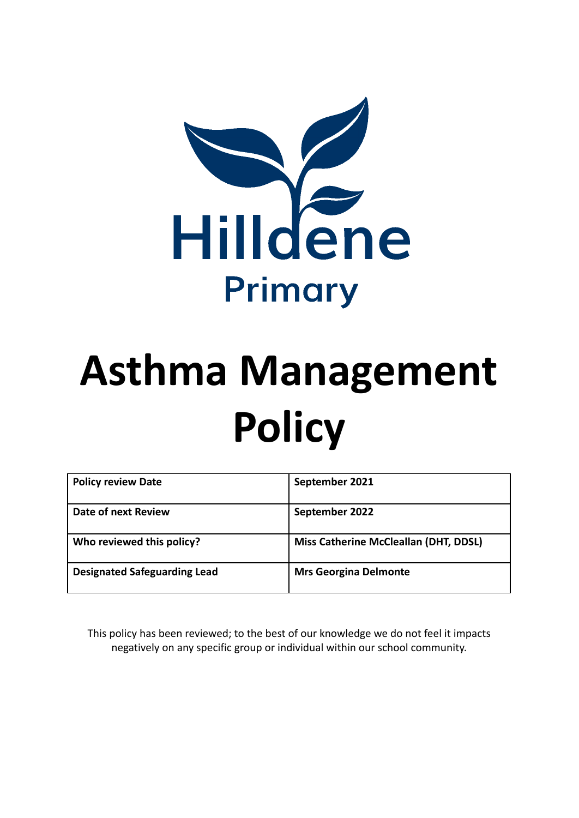

# **Asthma Management Policy**

| <b>Policy review Date</b>           | September 2021                               |
|-------------------------------------|----------------------------------------------|
| Date of next Review                 | September 2022                               |
| Who reviewed this policy?           | <b>Miss Catherine McCleallan (DHT, DDSL)</b> |
| <b>Designated Safeguarding Lead</b> | <b>Mrs Georgina Delmonte</b>                 |

This policy has been reviewed; to the best of our knowledge we do not feel it impacts negatively on any specific group or individual within our school community.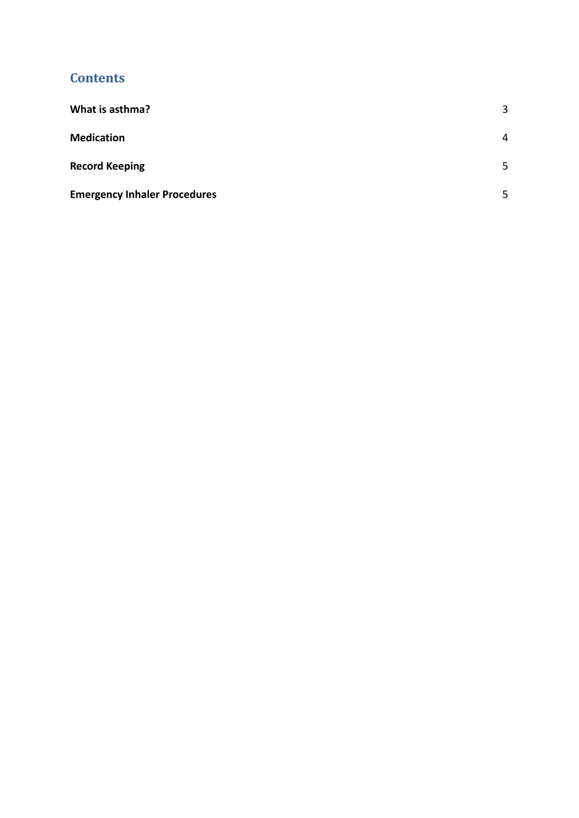## **c c ontents**

| What is asthma?                     | 3 |
|-------------------------------------|---|
| <b>Medication</b>                   | 4 |
| <b>Record Keeping</b>               | 5 |
| <b>Emergency Inhaler Procedures</b> | 5 |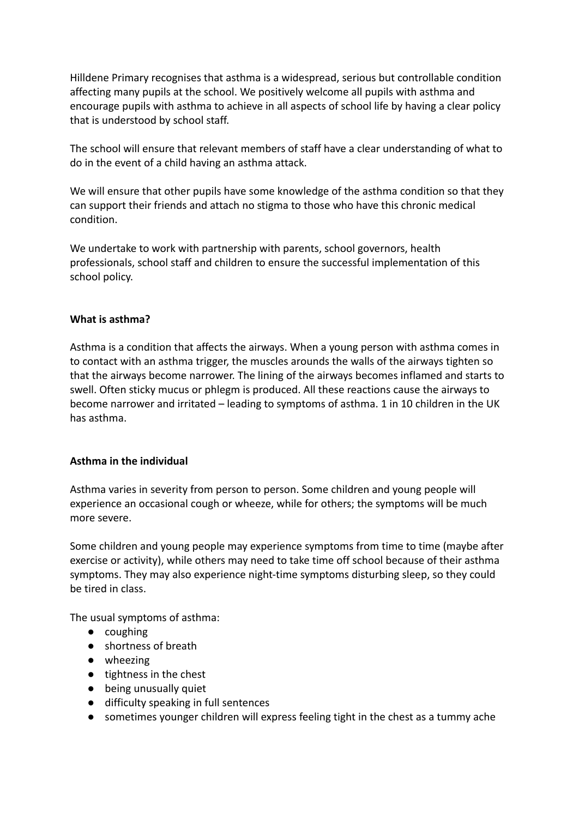Hilldene Primary recognises that asthma is a widespread, serious but controllable condition affecting many pupils at the school. We positively welcome all pupils with asthma and encourage pupils with asthma to achieve in all aspects of school life by having a clear policy that is understood by school staff.

The school will ensure that relevant members of staff have a clear understanding of what to do in the event of a child having an asthma attack.

We will ensure that other pupils have some knowledge of the asthma condition so that they can support their friends and attach no stigma to those who have this chronic medical condition.

We undertake to work with partnership with parents, school governors, health professionals, school staff and children to ensure the successful implementation of this school policy.

## <span id="page-2-0"></span>**What is asthma?**

Asthma is a condition that affects the airways. When a young person with asthma comes in to contact with an asthma trigger, the muscles arounds the walls of the airways tighten so that the airways become narrower. The lining of the airways becomes inflamed and starts to swell. Often sticky mucus or phlegm is produced. All these reactions cause the airways to become narrower and irritated – leading to symptoms of asthma. 1 in 10 children in the UK has asthma.

## **Asthma in the individual**

Asthma varies in severity from person to person. Some children and young people will experience an occasional cough or wheeze, while for others; the symptoms will be much more severe.

Some children and young people may experience symptoms from time to time (maybe after exercise or activity), while others may need to take time off school because of their asthma symptoms. They may also experience night-time symptoms disturbing sleep, so they could be tired in class.

The usual symptoms of asthma:

- coughing
- shortness of breath
- wheezing
- tightness in the chest
- being unusually quiet
- difficulty speaking in full sentences
- sometimes younger children will express feeling tight in the chest as a tummy ache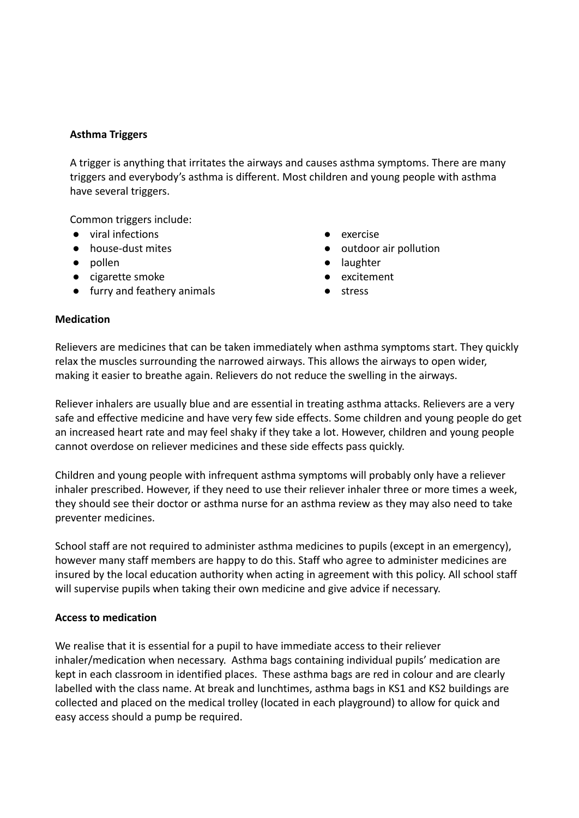## **Asthma Triggers**

A trigger is anything that irritates the airways and causes asthma symptoms. There are many triggers and everybody's asthma is different. Most children and young people with asthma have several triggers.

Common triggers include:

- viral infections
- house-dust mites
- pollen
- cigarette smoke
- furry and feathery animals
- exercise
- outdoor air pollution
- laughter
- excitement
- stress

## <span id="page-3-0"></span>**Medication**

Relievers are medicines that can be taken immediately when asthma symptoms start. They quickly relax the muscles surrounding the narrowed airways. This allows the airways to open wider, making it easier to breathe again. Relievers do not reduce the swelling in the airways.

Reliever inhalers are usually blue and are essential in treating asthma attacks. Relievers are a very safe and effective medicine and have very few side effects. Some children and young people do get an increased heart rate and may feel shaky if they take a lot. However, children and young people cannot overdose on reliever medicines and these side effects pass quickly.

Children and young people with infrequent asthma symptoms will probably only have a reliever inhaler prescribed. However, if they need to use their reliever inhaler three or more times a week, they should see their doctor or asthma nurse for an asthma review as they may also need to take preventer medicines.

School staff are not required to administer asthma medicines to pupils (except in an emergency), however many staff members are happy to do this. Staff who agree to administer medicines are insured by the local education authority when acting in agreement with this policy. All school staff will supervise pupils when taking their own medicine and give advice if necessary.

## **Access to medication**

We realise that it is essential for a pupil to have immediate access to their reliever inhaler/medication when necessary. Asthma bags containing individual pupils' medication are kept in each classroom in identified places. These asthma bags are red in colour and are clearly labelled with the class name. At break and lunchtimes, asthma bags in KS1 and KS2 buildings are collected and placed on the medical trolley (located in each playground) to allow for quick and easy access should a pump be required.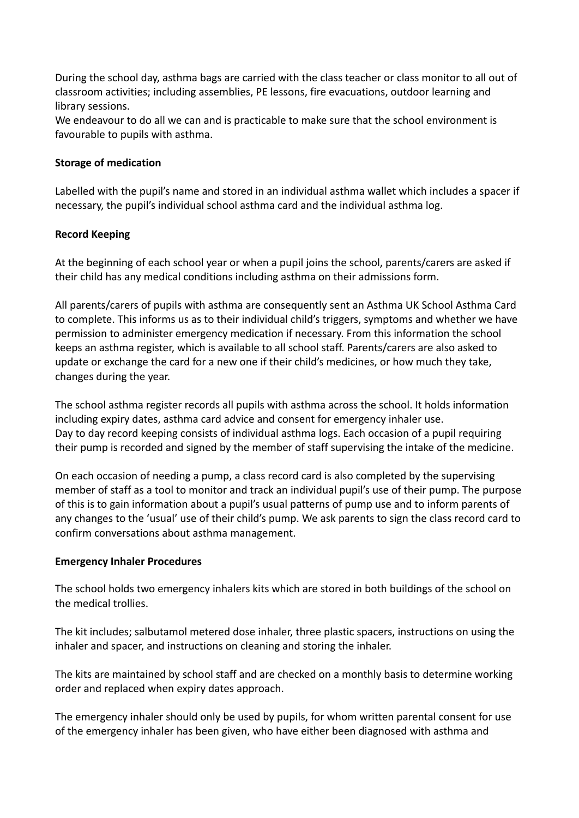During the school day, asthma bags are carried with the class teacher or class monitor to all out of classroom activities; including assemblies, PE lessons, fire evacuations, outdoor learning and library sessions.

We endeavour to do all we can and is practicable to make sure that the school environment is favourable to pupils with asthma.

## **Storage of medication**

Labelled with the pupil's name and stored in an individual asthma wallet which includes a spacer if necessary, the pupil's individual school asthma card and the individual asthma log.

## <span id="page-4-0"></span>**Record Keeping**

At the beginning of each school year or when a pupil joins the school, parents/carers are asked if their child has any medical conditions including asthma on their admissions form.

All parents/carers of pupils with asthma are consequently sent an Asthma UK School Asthma Card to complete. This informs us as to their individual child's triggers, symptoms and whether we have permission to administer emergency medication if necessary. From this information the school keeps an asthma register, which is available to all school staff. Parents/carers are also asked to update or exchange the card for a new one if their child's medicines, or how much they take, changes during the year.

The school asthma register records all pupils with asthma across the school. It holds information including expiry dates, asthma card advice and consent for emergency inhaler use. Day to day record keeping consists of individual asthma logs. Each occasion of a pupil requiring their pump is recorded and signed by the member of staff supervising the intake of the medicine.

On each occasion of needing a pump, a class record card is also completed by the supervising member of staff as a tool to monitor and track an individual pupil's use of their pump. The purpose of this is to gain information about a pupil's usual patterns of pump use and to inform parents of any changes to the 'usual' use of their child's pump. We ask parents to sign the class record card to confirm conversations about asthma management.

## <span id="page-4-1"></span>**Emergency Inhaler Procedures**

The school holds two emergency inhalers kits which are stored in both buildings of the school on the medical trollies.

The kit includes; salbutamol metered dose inhaler, three plastic spacers, instructions on using the inhaler and spacer, and instructions on cleaning and storing the inhaler.

The kits are maintained by school staff and are checked on a monthly basis to determine working order and replaced when expiry dates approach.

The emergency inhaler should only be used by pupils, for whom written parental consent for use of the emergency inhaler has been given, who have either been diagnosed with asthma and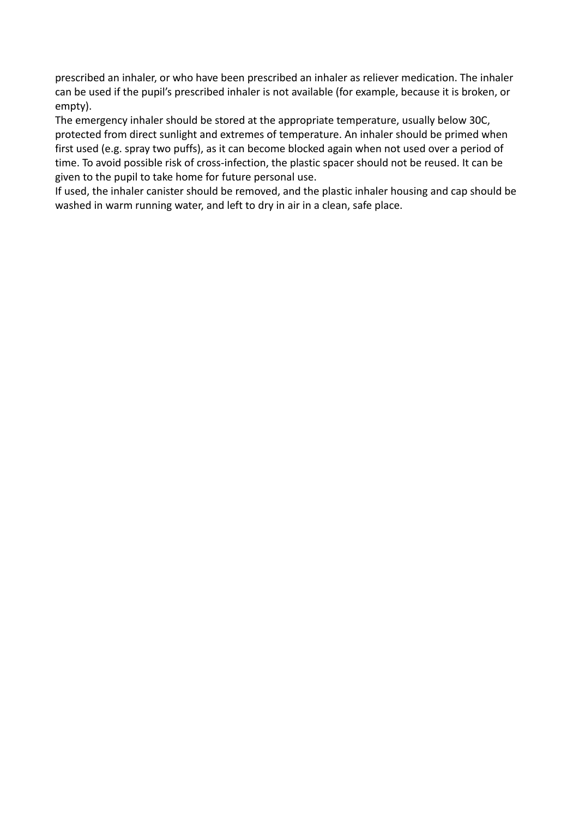prescribed an inhaler, or who have been prescribed an inhaler as reliever medication. The inhaler can be used if the pupil's prescribed inhaler is not available (for example, because it is broken, or empty).

The emergency inhaler should be stored at the appropriate temperature, usually below 30C, protected from direct sunlight and extremes of temperature. An inhaler should be primed when first used (e.g. spray two puffs), as it can become blocked again when not used over a period of time. To avoid possible risk of cross-infection, the plastic spacer should not be reused. It can be given to the pupil to take home for future personal use.

If used, the inhaler canister should be removed, and the plastic inhaler housing and cap should be washed in warm running water, and left to dry in air in a clean, safe place.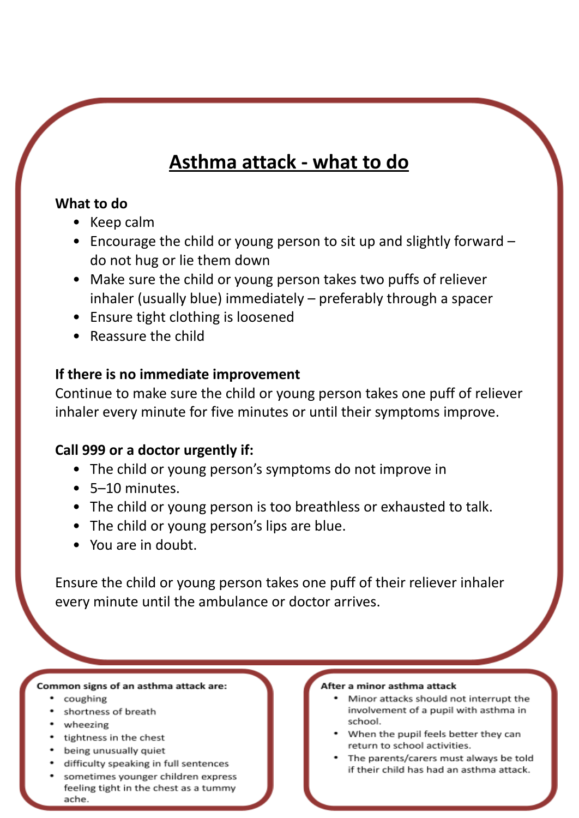# **Asthma attack - what to do**

## **What to do**

- Keep calm
- Encourage the child or young person to sit up and slightly forward do not hug or lie them down
- Make sure the child or young person takes two puffs of reliever inhaler (usually blue) immediately – preferably through a spacer
- Ensure tight clothing is loosened
- Reassure the child

# **If there is no immediate improvement**

Continue to make sure the child or young person takes one puff of reliever inhaler every minute for five minutes or until their symptoms improve.

# **Call 999 or a doctor urgently if:**

- The child or young person's symptoms do not improve in
- 5–10 minutes.
- The child or young person is too breathless or exhausted to talk.
- The child or young person's lips are blue.
- You are in doubt.

Ensure the child or young person takes one puff of their reliever inhaler every minute until the ambulance or doctor arrives.

## Common signs of an asthma attack are:

- coughing
- shortness of breath
- wheezing
- tightness in the chest
- being unusually quiet
- difficulty speaking in full sentences
- sometimes younger children express feeling tight in the chest as a tummy ache.

#### After a minor asthma attack

- Minor attacks should not interrupt the involvement of a pupil with asthma in school.
- When the pupil feels better they can return to school activities.
- The parents/carers must always be told if their child has had an asthma attack.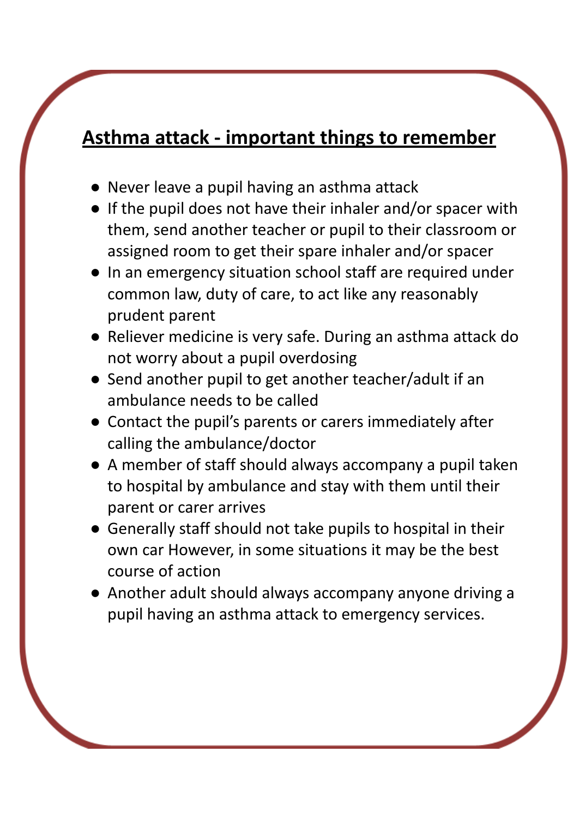# **Asthma attack - important things to remember**

- Never leave a pupil having an asthma attack
- If the pupil does not have their inhaler and/or spacer with them, send another teacher or pupil to their classroom or assigned room to get their spare inhaler and/or spacer
- In an emergency situation school staff are required under common law, duty of care, to act like any reasonably prudent parent
- Reliever medicine is very safe. During an asthma attack do not worry about a pupil overdosing
- Send another pupil to get another teacher/adult if an ambulance needs to be called
- Contact the pupil's parents or carers immediately after calling the ambulance/doctor
- A member of staff should always accompany a pupil taken to hospital by ambulance and stay with them until their parent or carer arrives
- Generally staff should not take pupils to hospital in their own car However, in some situations it may be the best course of action
- Another adult should always accompany anyone driving a pupil having an asthma attack to emergency services.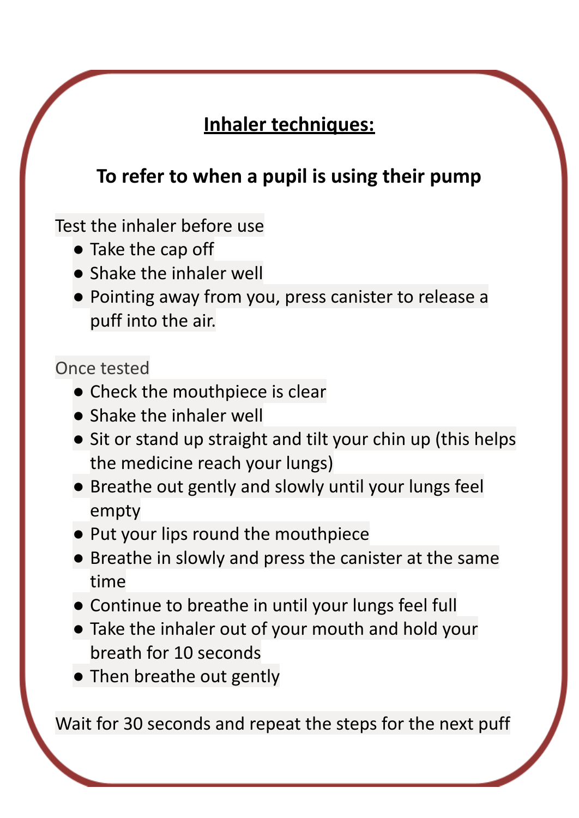# **Inhaler techniques:**

# **To refer to when a pupil is using their pump**

Test the inhaler before use

- Take the cap off
- **•** Shake the inhaler well
- Pointing away from you, press canister to release a puff into the air.

# Once tested

- Check the mouthpiece is clear
- Shake the inhaler well
- Sit or stand up straight and tilt your chin up (this helps the medicine reach your lungs)
- Breathe out gently and slowly until your lungs feel empty
- Put your lips round the mouthpiece
- Breathe in slowly and press the canister at the same time
- Continue to breathe in until your lungs feel full
- Take the inhaler out of your mouth and hold your breath for 10 seconds
- Then breathe out gently

Wait for 30 seconds and repeat the steps for the next puff